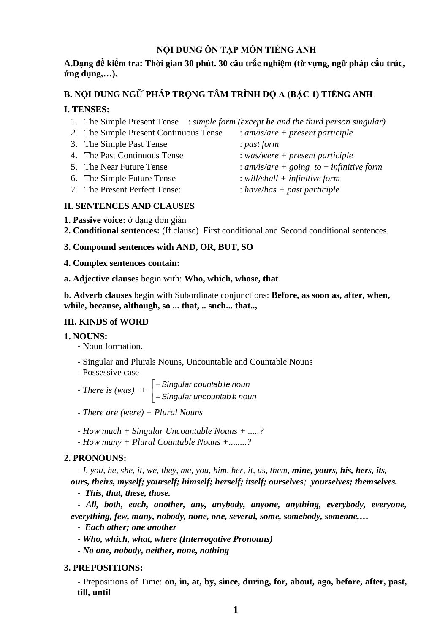# **NỘI DUNG ÔN TẬP MÔN TIẾNG ANH**

# **A.Dạng đề kiểm tra: Thời gian 30 phút. 30 câu trắc nghiệm (từ vựng, ngữ pháp cấu trúc, ứng dụng,…).**

# **B. NỘI DUNG NGỮ PHÁP TRỌNG TÂM TRÌNH ĐỘ A (BẬC 1) TIẾNG ANH**

# **I. TENSES:**

- 1. The Simple Present Tense : *simple form (except be and the third person singular)*
- *2.* The Simple Present Continuous Tense : *am/is/are + present participle*
- 3. The Simple Past Tense : *past form*
- 4. The Past Continuous Tense : *was/were + present participle*
- 5. The Near Future Tense : *am/is/are + going to* + *infinitive form*
- 6. The Simple Future Tense : *will/shall + infinitive form*
- *7.* The Present Perfect Tense: : *have/has + past participle*
- 
- -
- 
- **II. SENTENCES AND CLAUSES**
- **1. Passive voice:** ở dạng đơn giản
- **2. Conditional sentences:** (If clause) First conditional and Second conditional sentences.

# **3. Compound sentences with AND, OR, BUT, SO**

## **4. Complex sentences contain:**

**a. Adjective clauses** begin with: **Who, which, whose, that**

**b. Adverb clauses** begin with Subordinate conjunctions: **Before, as soon as, after, when, while, because, although, so ... that, .. such... that..,**

## **III. KINDS of WORD**

## **1. NOUNS:**

- Noun formation.
- **-** Singular and Plurals Nouns, Uncountable and Countable Nouns
- Possessive case

*Singular countab le noun - There is (was)* + *Singular uncountab el noun*

- *- There are (were) + Plural Nouns*
- *- How much + Singular Uncountable Nouns + .....?*
- *- How many + Plural Countable Nouns +........?*

## **2. PRONOUNS:**

- *I, you, he, she, it, we, they, me, you, him, her, it, us, them, mine, yours, his, hers, its, ours, theirs, myself; yourself; himself; herself; itself; ourselves; yourselves; themselves.*

- *This, that, these, those.*

- *All, both, each, another, any, anybody, anyone, anything, everybody, everyone, everything, few, many, nobody, none, one, several, some, somebody, someone,…*

- *Each other; one another*

- *- Who, which, what, where (Interrogative Pronouns)*
- *- No one, nobody, neither, none, nothing*

## **3. PREPOSITIONS:**

- Prepositions of Time: **on, in, at, by, since, during, for, about, ago, before, after, past, till, until**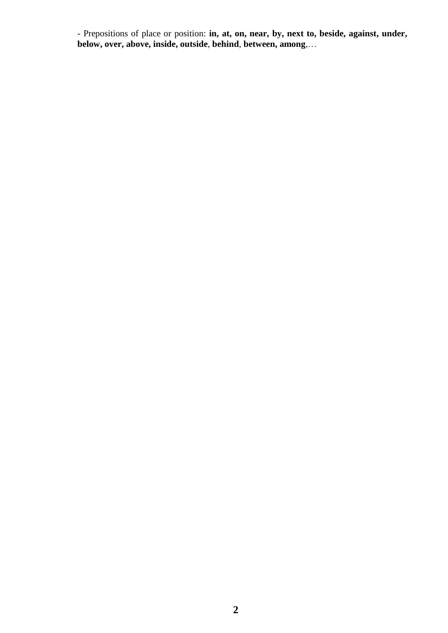- Prepositions of place or position: **in, at, on, near, by, next to, beside, against, under, below, over, above, inside, outside**, **behind**, **between, among**,…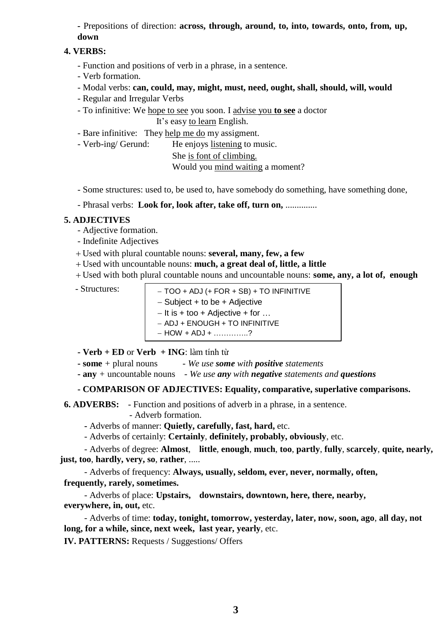**-** Prepositions of direction: **across, through, around, to, into, towards, onto, from, up, down**

#### **4. VERBS:**

- Function and positions of verb in a phrase, in a sentence.
- Verb formation.
- Modal verbs: **can, could, may, might, must, need, ought, shall, should, will, would**
- Regular and Irregular Verbs
- To infinitive: We hope to see you soon. I advise you **to see** a doctor It's easy to learn English.
- Bare infinitive: They help me do my assigment.
- Verb-ing/ Gerund: He enjoys listening to music.

She is font of climbing.

Would you mind waiting a moment?

- Some structures: used to, be used to, have somebody do something, have something done,

- Phrasal verbs: **Look for, look after, take off, turn on,** ..............

#### **5. ADJECTIVES**

- Adjective formation.
- Indefinite Adjectives
- Used with plural countable nouns: **several, many, few, a few**
- Used with uncountable nouns: **much, a great deal of, little, a little**
- Used with both plural countable nouns and uncountable nouns: **some, any, a lot of, enough**

- $-$  Structures:  $\vert$   $-$  TOO + ADJ (+ FOR + SB) + TO INFINITIVE  $-$  Subject + to be + Adjective  $-It$  is  $+$  too  $+$  Adjective  $+$  for ...
	- ADJ + ENOUGH + TO INFINITIVE
	- $-HOW + ADJ + \dots$
- **- Verb + ED** or **Verb + ING**: làm tính từ

**- some** *+* plural nouns *- We use some with positive statements*

**- any** *+* uncountable nouns *- We use any with negative statements and questions*

#### **- COMPARISON OF ADJECTIVES: Equality, comparative, superlative comparisons.**

**6. ADVERBS:** - Function and positions of adverb in a phrase, in a sentence. - Adverb formation.

**-** Adverbs of manner: **Quietly, carefully, fast, hard,** etc.

- Adverbs of certainly: **Certainly**, **definitely, probably, obviously**, etc.

- Adverbs of degree: **Almost**, **[little](http://www.perfectyourenglish.com/usage/little.htm)**, **[enough](http://www.perfectyourenglish.com/usage/enough.htm)**, **[much](http://www.perfectyourenglish.com/usage/much-and-many.htm)**, **too**, **partly**, **fully**, **scarcely**, **[quite,](http://www.perfectyourenglish.com/usage/quite.htm) nearly, just, too**, **hardly, very, so**, **[rather](http://www.perfectyourenglish.com/usage/rather.htm)**, .....

- Adverbs of frequency: **Always, usually, seldom, [ever,](http://www.perfectyourenglish.com/usage/ever.htm) never, normally, [often,](http://www.perfectyourenglish.com/usage/often.htm) frequently, rarely, sometimes.**

- Adverbs of place: **Upstairs, downstairs, downtown, here, [there,](http://www.perfectyourenglish.com/usage/there.htm) nearby, everywhere, in, out,** etc.

- Adverbs of time: **today, tonight, tomorrow, yesterday, later, now, soon, ago**, **all day, not long, for a while, since, next week, last year, yearly**, etc.

**IV. PATTERNS:** Requests / Suggestions/ Offers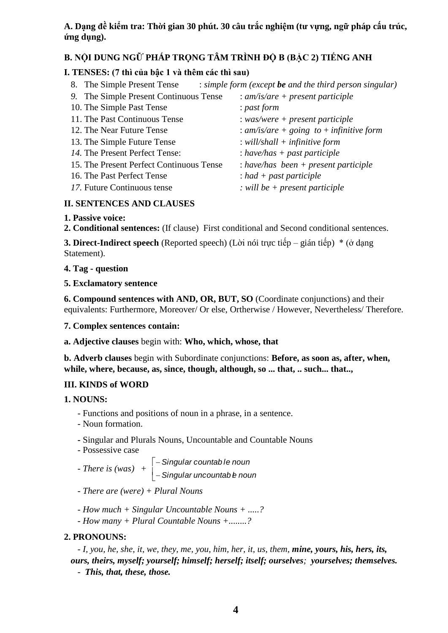# **A. Dạng đề kiểm tra: Thời gian 30 phút. 30 câu trắc nghiệm (tư vựng, ngữ pháp cấu trúc, ứng dụng).**

# **B. NỘI DUNG NGỮ PHÁP TRỌNG TÂM TRÌNH ĐỘ B (BẬC 2) TIẾNG ANH**

# **I. TENSES: (7 thì của bậc 1 và thêm các thì sau)**

| 8. The Simple Present Tense              | : simple form (except be and the third person singular) |
|------------------------------------------|---------------------------------------------------------|
| 9. The Simple Present Continuous Tense   | : $am/is/are + present\ particle$                       |
| 10. The Simple Past Tense                | : past form                                             |
| 11. The Past Continuous Tense            | $: was/were + present\, particle$                       |
| 12. The Near Future Tense                | : am/is/are + going to + infinitive form                |
| 13. The Simple Future Tense              | : will/shall $+$ infinitive form                        |
| 14. The Present Perfect Tense:           | : have/has $+$ past participle                          |
| 15. The Present Perfect Continuous Tense | $: have/has been + present particle$                    |
| 16. The Past Perfect Tense               | $:$ had + past participle                               |
| 17. Future Continuous tense              | : will be $+$ present participle                        |
|                                          |                                                         |

# **II. SENTENCES AND CLAUSES**

# **1. Passive voice:**

**2. Conditional sentences:** (If clause) First conditional and Second conditional sentences.

**3. Direct-Indirect speech** (Reported speech) (Lời nói trực tiếp – gián tiếp) \* (ở dạng Statement).

# **4. Tag - question**

# **5. Exclamatory sentence**

**6. Compound sentences with AND, OR, BUT, SO** (Coordinate conjunctions) and their equivalents: Furthermore, Moreover/ Or else, Ortherwise / However, Nevertheless/ Therefore.

## **7. Complex sentences contain:**

**a. Adjective clauses** begin with: **Who, which, whose, that**

**b. Adverb clauses** begin with Subordinate conjunctions: **Before, as soon as, after, when, while, where, because, as, since, though, although, so ... that, .. such... that..,**

# **III. KINDS of WORD**

**1. NOUNS:**

- Functions and positions of noun in a phrase, in a sentence.
- Noun formation.
- **-** Singular and Plurals Nouns, Uncountable and Countable Nouns
- Possessive case

 *- There is (was)* + *Singular countab le noun Singular uncountab el noun*

- *- There are (were) + Plural Nouns*
- *- How much + Singular Uncountable Nouns + .....?*
- *- How many + Plural Countable Nouns +........?*

# **2. PRONOUNS:**

- *I, you, he, she, it, we, they, me, you, him, her, it, us, them, mine, yours, his, hers, its, ours, theirs, myself; yourself; himself; herself; itself; ourselves; yourselves; themselves.*

- *This, that, these, those.*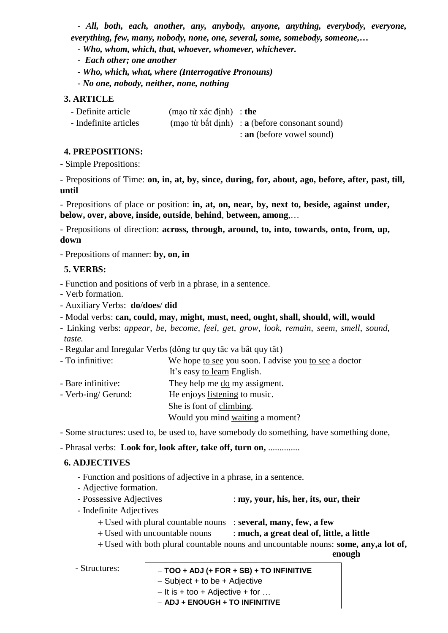- *All, both, each, another, any, anybody, anyone, anything, everybody, everyone, everything, few, many, nobody, none, one, several, some, somebody, someone,…*

- *Who, whom, which, that, whoever, whomever, whichever.*
- *Each other; one another*
- *- Who, which, what, where (Interrogative Pronouns)*
- *- No one, nobody, neither, none, nothing*

# **3. ARTICLE**

| - Definite article    | $(mao \t{t} \t{x} \t{a} \t{c} \t{d} \t{in}) :$ the |                                                |
|-----------------------|----------------------------------------------------|------------------------------------------------|
| - Indefinite articles |                                                    | (mao từ bất định) : a (before consonant sound) |
|                       |                                                    | : an (before vowel sound)                      |

## **4. PREPOSITIONS:**

- Simple Prepositions:

- Prepositions of Time: **on, in, at, by, since, during, for, about, ago, before, after, past, till, until**

- Prepositions of place or position: **in, at, on, near, by, next to, beside, against under, below, over, above, inside, outside**, **behind**, **between, among**,…

- Prepositions of direction: **across, through, around, to, into, towards, onto, from, up, down**

- Prepositions of manner: **by, on, in**

## **5. VERBS:**

- Function and positions of verb in a phrase, in a sentence.
- Verb formation.
- Auxiliary Verbs: **do**/**does**/ **did**
- Modal verbs: **can, could, may, might, must, need, ought, shall, should, will, would**
- Linking verbs: *appear*, *be*, *become*, *feel*, *get*, *grow*, *look*, *remain*, *seem*, *smell*, *sound*, *taste.*
- Regular and Inregular Verbs(đông tư quy tăc va bât quy tăt)
- To infinitive: We hope to see you soon. I advise you to see a doctor
- It's easy to learn English.
- Bare infinitive: They help me do my assigment.
- Verb-ing/ Gerund: He enjoys listening to music. She is font of climbing. Would you mind waiting a moment?

- Some structures: used to, be used to, have somebody do something, have something done,

- Phrasal verbs: **Look for, look after, take off, turn on,** ..............

## **6. ADJECTIVES**

- Function and positions of adjective in a phrase, in a sentence.
- Adjective formation.
- Possessive Adjectives : **my, your, his, her, its, our, their**
- Indefinite Adjectives
	- Used with plural countable nouns : **several, many, few, a few**
	- Used with uncountable nouns : **much, a great deal of, little, a little**
	- Used with both plural countable nouns and uncountable nouns: **some, any,a lot of,**

**enough**

- Structures: **TOO + ADJ (+ FOR + SB) + TO INFINITIVE**  $-$  Subject + to be + Adjective
	- **5** It is + too + Adjective + for …
	- **ADJ + ENOUGH + TO INFINITIVE**